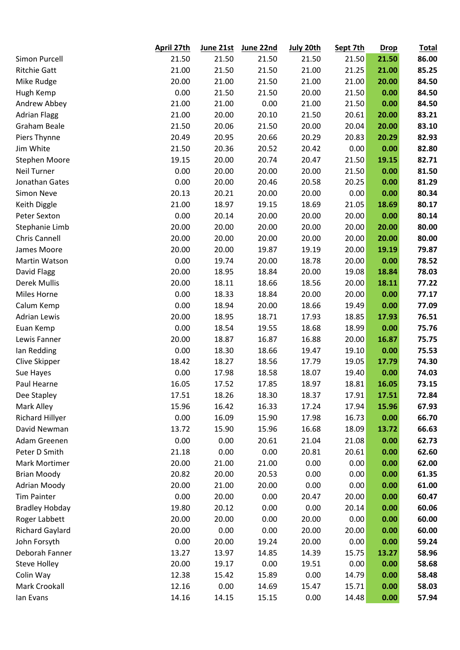|                        | April 27th | June 21st | June 22nd | July 20th | Sept 7th | <b>Drop</b> | <b>Total</b> |
|------------------------|------------|-----------|-----------|-----------|----------|-------------|--------------|
| Simon Purcell          | 21.50      | 21.50     | 21.50     | 21.50     | 21.50    | 21.50       | 86.00        |
| <b>Ritchie Gatt</b>    | 21.00      | 21.50     | 21.50     | 21.00     | 21.25    | 21.00       | 85.25        |
| Mike Rudge             | 20.00      | 21.00     | 21.50     | 21.00     | 21.00    | 20.00       | 84.50        |
| Hugh Kemp              | 0.00       | 21.50     | 21.50     | 20.00     | 21.50    | 0.00        | 84.50        |
| Andrew Abbey           | 21.00      | 21.00     | 0.00      | 21.00     | 21.50    | 0.00        | 84.50        |
| <b>Adrian Flagg</b>    | 21.00      | 20.00     | 20.10     | 21.50     | 20.61    | 20.00       | 83.21        |
| <b>Graham Beale</b>    | 21.50      | 20.06     | 21.50     | 20.00     | 20.04    | 20.00       | 83.10        |
| Piers Thynne           | 20.49      | 20.95     | 20.66     | 20.29     | 20.83    | 20.29       | 82.93        |
| Jim White              | 21.50      | 20.36     | 20.52     | 20.42     | 0.00     | 0.00        | 82.80        |
| <b>Stephen Moore</b>   | 19.15      | 20.00     | 20.74     | 20.47     | 21.50    | 19.15       | 82.71        |
| <b>Neil Turner</b>     | 0.00       | 20.00     | 20.00     | 20.00     | 21.50    | 0.00        | 81.50        |
| Jonathan Gates         | 0.00       | 20.00     | 20.46     | 20.58     | 20.25    | 0.00        | 81.29        |
| <b>Simon Neve</b>      | 20.13      | 20.21     | 20.00     | 20.00     | 0.00     | 0.00        | 80.34        |
| Keith Diggle           | 21.00      | 18.97     | 19.15     | 18.69     | 21.05    | 18.69       | 80.17        |
| Peter Sexton           | 0.00       | 20.14     | 20.00     | 20.00     | 20.00    | 0.00        | 80.14        |
| Stephanie Limb         | 20.00      | 20.00     | 20.00     | 20.00     | 20.00    | 20.00       | 80.00        |
| Chris Cannell          | 20.00      | 20.00     | 20.00     | 20.00     | 20.00    | 20.00       | 80.00        |
| James Moore            | 20.00      | 20.00     | 19.87     | 19.19     | 20.00    | 19.19       | 79.87        |
| Martin Watson          | 0.00       | 19.74     | 20.00     | 18.78     | 20.00    | 0.00        | 78.52        |
| David Flagg            | 20.00      | 18.95     | 18.84     | 20.00     | 19.08    | 18.84       | 78.03        |
| Derek Mullis           | 20.00      | 18.11     | 18.66     | 18.56     | 20.00    | 18.11       | 77.22        |
| Miles Horne            | 0.00       | 18.33     | 18.84     | 20.00     | 20.00    | 0.00        | 77.17        |
| Calum Kemp             | 0.00       | 18.94     | 20.00     | 18.66     | 19.49    | 0.00        | 77.09        |
| <b>Adrian Lewis</b>    | 20.00      | 18.95     | 18.71     | 17.93     | 18.85    | 17.93       | 76.51        |
| Euan Kemp              | 0.00       | 18.54     | 19.55     | 18.68     | 18.99    | 0.00        | 75.76        |
| Lewis Fanner           | 20.00      | 18.87     | 16.87     | 16.88     | 20.00    | 16.87       | 75.75        |
| Ian Redding            | 0.00       | 18.30     | 18.66     | 19.47     | 19.10    | 0.00        | 75.53        |
| Clive Skipper          | 18.42      | 18.27     | 18.56     | 17.79     | 19.05    | 17.79       | 74.30        |
| Sue Hayes              | 0.00       | 17.98     | 18.58     | 18.07     | 19.40    | 0.00        | 74.03        |
| Paul Hearne            | 16.05      | 17.52     | 17.85     | 18.97     | 18.81    | 16.05       | 73.15        |
| Dee Stapley            | 17.51      | 18.26     | 18.30     | 18.37     | 17.91    | 17.51       | 72.84        |
| Mark Alley             | 15.96      | 16.42     | 16.33     | 17.24     | 17.94    | 15.96       | 67.93        |
| Richard Hillyer        | 0.00       | 16.09     | 15.90     | 17.98     | 16.73    | 0.00        | 66.70        |
| David Newman           | 13.72      | 15.90     | 15.96     | 16.68     | 18.09    | 13.72       | 66.63        |
| Adam Greenen           | 0.00       | 0.00      | 20.61     | 21.04     | 21.08    | 0.00        | 62.73        |
| Peter D Smith          | 21.18      | 0.00      | 0.00      | 20.81     | 20.61    | 0.00        | 62.60        |
| <b>Mark Mortimer</b>   | 20.00      | 21.00     | 21.00     | 0.00      | 0.00     | 0.00        | 62.00        |
| <b>Brian Moody</b>     | 20.82      | 20.00     | 20.53     | 0.00      | 0.00     | 0.00        | 61.35        |
| <b>Adrian Moody</b>    | 20.00      | 21.00     | 20.00     | 0.00      | 0.00     | 0.00        | 61.00        |
| <b>Tim Painter</b>     | 0.00       | 20.00     | 0.00      | 20.47     | 20.00    | 0.00        | 60.47        |
| <b>Bradley Hobday</b>  | 19.80      | 20.12     | 0.00      | 0.00      | 20.14    | 0.00        | 60.06        |
| Roger Labbett          | 20.00      | 20.00     | 0.00      | 20.00     | 0.00     | 0.00        | 60.00        |
| <b>Richard Gaylard</b> | 20.00      | 0.00      | 0.00      | 20.00     | 20.00    | 0.00        | 60.00        |
| John Forsyth           | 0.00       | 20.00     | 19.24     | 20.00     | 0.00     | 0.00        | 59.24        |
| Deborah Fanner         | 13.27      | 13.97     | 14.85     | 14.39     | 15.75    | 13.27       | 58.96        |
| <b>Steve Holley</b>    | 20.00      | 19.17     | 0.00      | 19.51     | 0.00     | 0.00        | 58.68        |
| Colin Way              | 12.38      | 15.42     | 15.89     | 0.00      | 14.79    | 0.00        | 58.48        |
| Mark Crookall          | 12.16      | 0.00      | 14.69     | 15.47     | 15.71    | 0.00        | 58.03        |
| lan Evans              | 14.16      | 14.15     | 15.15     | 0.00      | 14.48    | 0.00        | 57.94        |